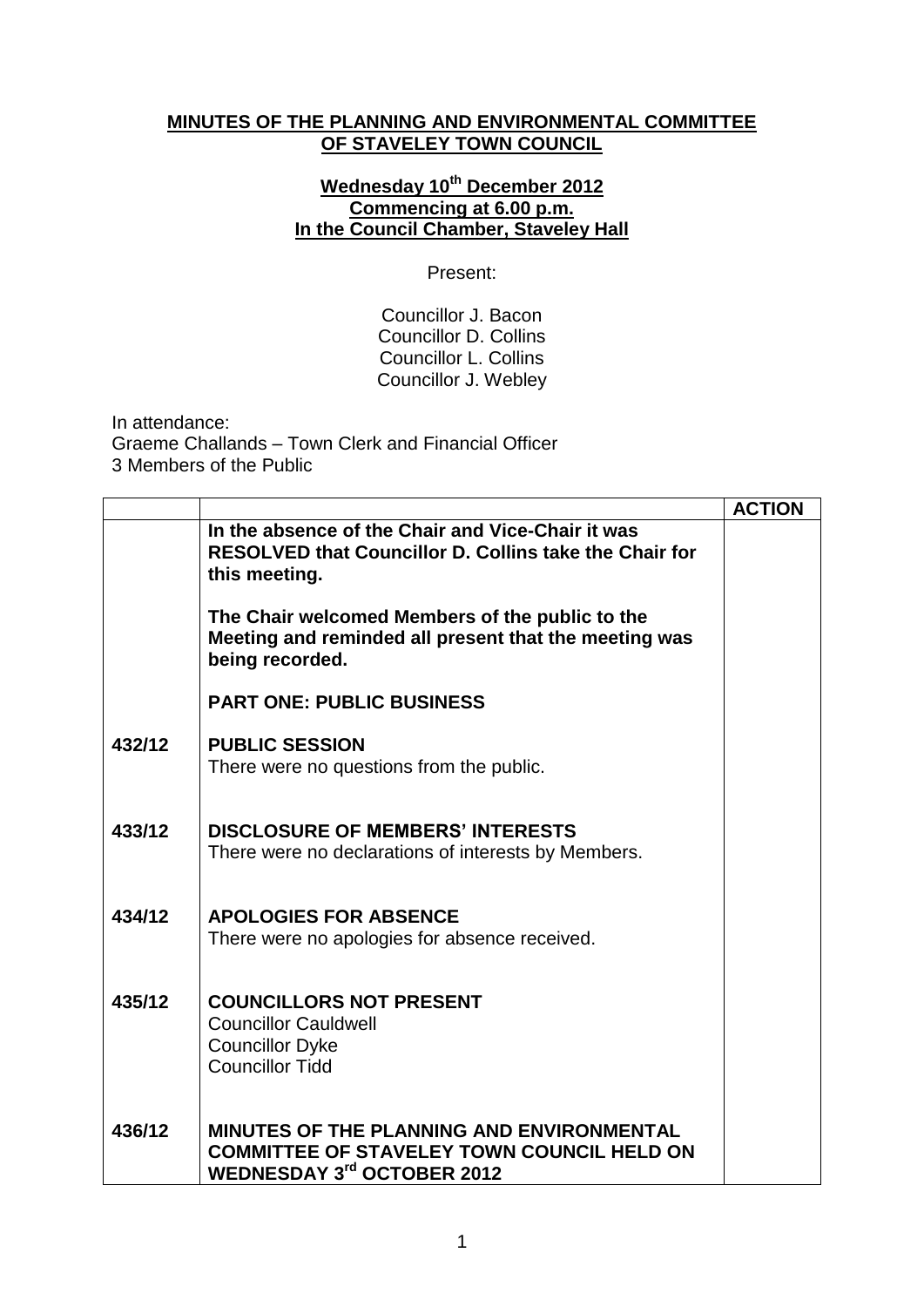## **MINUTES OF THE PLANNING AND ENVIRONMENTAL COMMITTEE OF STAVELEY TOWN COUNCIL**

## **Wednesday 10th December 2012 Commencing at 6.00 p.m. In the Council Chamber, Staveley Hall**

Present:

Councillor J. Bacon Councillor D. Collins Councillor L. Collins Councillor J. Webley

In attendance: Graeme Challands – Town Clerk and Financial Officer 3 Members of the Public

|        |                                                                                                                                            | <b>ACTION</b> |
|--------|--------------------------------------------------------------------------------------------------------------------------------------------|---------------|
|        | In the absence of the Chair and Vice-Chair it was<br><b>RESOLVED that Councillor D. Collins take the Chair for</b><br>this meeting.        |               |
|        | The Chair welcomed Members of the public to the<br>Meeting and reminded all present that the meeting was<br>being recorded.                |               |
|        | <b>PART ONE: PUBLIC BUSINESS</b>                                                                                                           |               |
| 432/12 | <b>PUBLIC SESSION</b><br>There were no questions from the public.                                                                          |               |
| 433/12 | <b>DISCLOSURE OF MEMBERS' INTERESTS</b><br>There were no declarations of interests by Members.                                             |               |
| 434/12 | <b>APOLOGIES FOR ABSENCE</b><br>There were no apologies for absence received.                                                              |               |
| 435/12 | <b>COUNCILLORS NOT PRESENT</b><br><b>Councillor Cauldwell</b><br><b>Councillor Dyke</b><br><b>Councillor Tidd</b>                          |               |
| 436/12 | <b>MINUTES OF THE PLANNING AND ENVIRONMENTAL</b><br><b>COMMITTEE OF STAVELEY TOWN COUNCIL HELD ON</b><br><b>WEDNESDAY 3rd OCTOBER 2012</b> |               |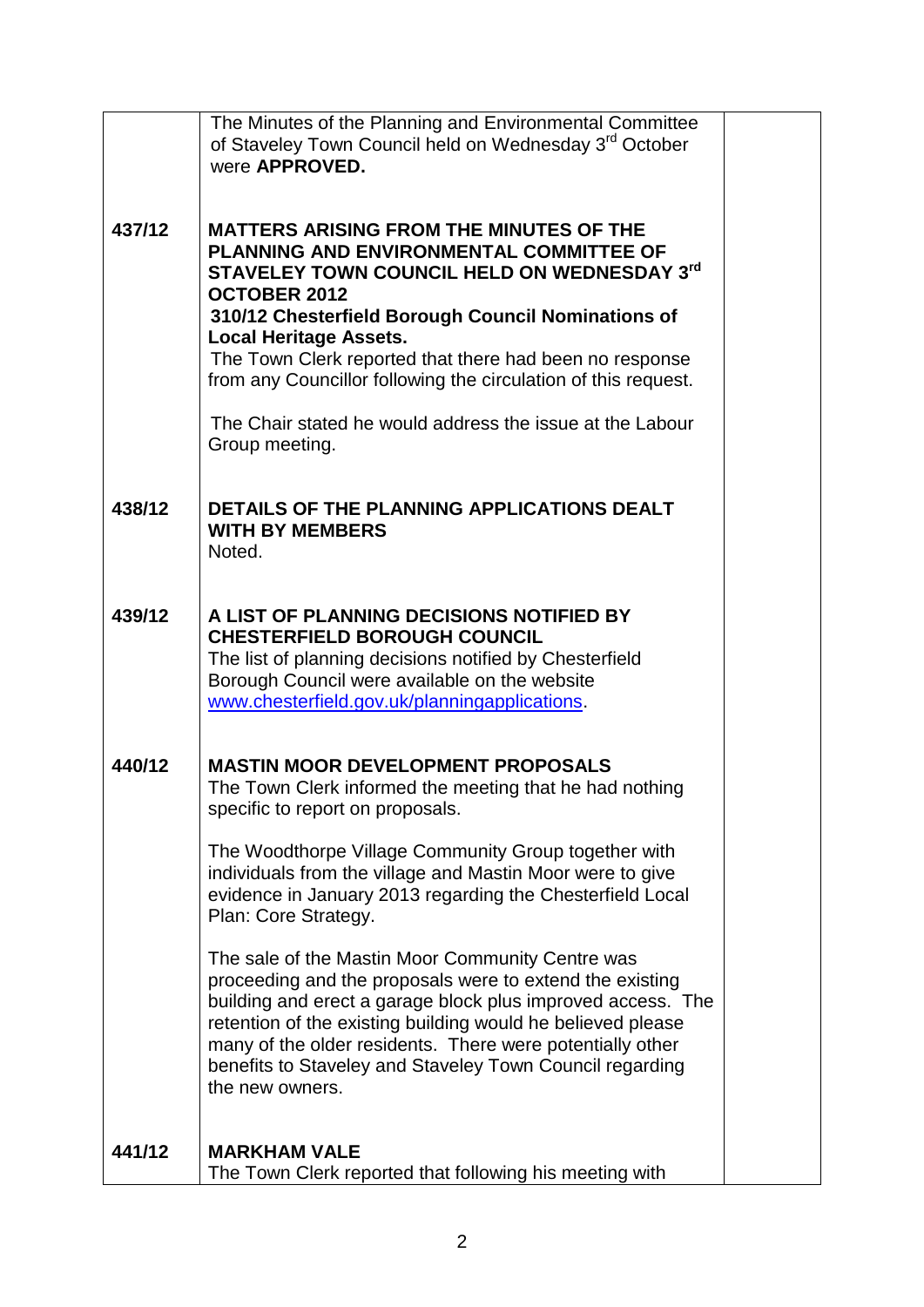|        | The Minutes of the Planning and Environmental Committee<br>of Staveley Town Council held on Wednesday 3 <sup>rd</sup> October<br>were <b>APPROVED.</b>                                                                                                                                                                                                                                                                                                                                                                                                                                          |  |
|--------|-------------------------------------------------------------------------------------------------------------------------------------------------------------------------------------------------------------------------------------------------------------------------------------------------------------------------------------------------------------------------------------------------------------------------------------------------------------------------------------------------------------------------------------------------------------------------------------------------|--|
| 437/12 | <b>MATTERS ARISING FROM THE MINUTES OF THE</b><br>PLANNING AND ENVIRONMENTAL COMMITTEE OF<br>STAVELEY TOWN COUNCIL HELD ON WEDNESDAY 3rd<br><b>OCTOBER 2012</b><br>310/12 Chesterfield Borough Council Nominations of<br><b>Local Heritage Assets.</b><br>The Town Clerk reported that there had been no response<br>from any Councillor following the circulation of this request.<br>The Chair stated he would address the issue at the Labour<br>Group meeting.                                                                                                                              |  |
| 438/12 | DETAILS OF THE PLANNING APPLICATIONS DEALT<br><b>WITH BY MEMBERS</b><br>Noted.                                                                                                                                                                                                                                                                                                                                                                                                                                                                                                                  |  |
| 439/12 | A LIST OF PLANNING DECISIONS NOTIFIED BY<br><b>CHESTERFIELD BOROUGH COUNCIL</b><br>The list of planning decisions notified by Chesterfield<br>Borough Council were available on the website<br>www.chesterfield.gov.uk/planningapplications.                                                                                                                                                                                                                                                                                                                                                    |  |
| 440/12 | <b>MASTIN MOOR DEVELOPMENT PROPOSALS</b><br>The Town Clerk informed the meeting that he had nothing<br>specific to report on proposals.<br>The Woodthorpe Village Community Group together with<br>individuals from the village and Mastin Moor were to give<br>evidence in January 2013 regarding the Chesterfield Local<br>Plan: Core Strategy.<br>The sale of the Mastin Moor Community Centre was<br>proceeding and the proposals were to extend the existing<br>building and erect a garage block plus improved access. The<br>retention of the existing building would he believed please |  |
| 441/12 | many of the older residents. There were potentially other<br>benefits to Staveley and Staveley Town Council regarding<br>the new owners.<br><b>MARKHAM VALE</b>                                                                                                                                                                                                                                                                                                                                                                                                                                 |  |
|        | The Town Clerk reported that following his meeting with                                                                                                                                                                                                                                                                                                                                                                                                                                                                                                                                         |  |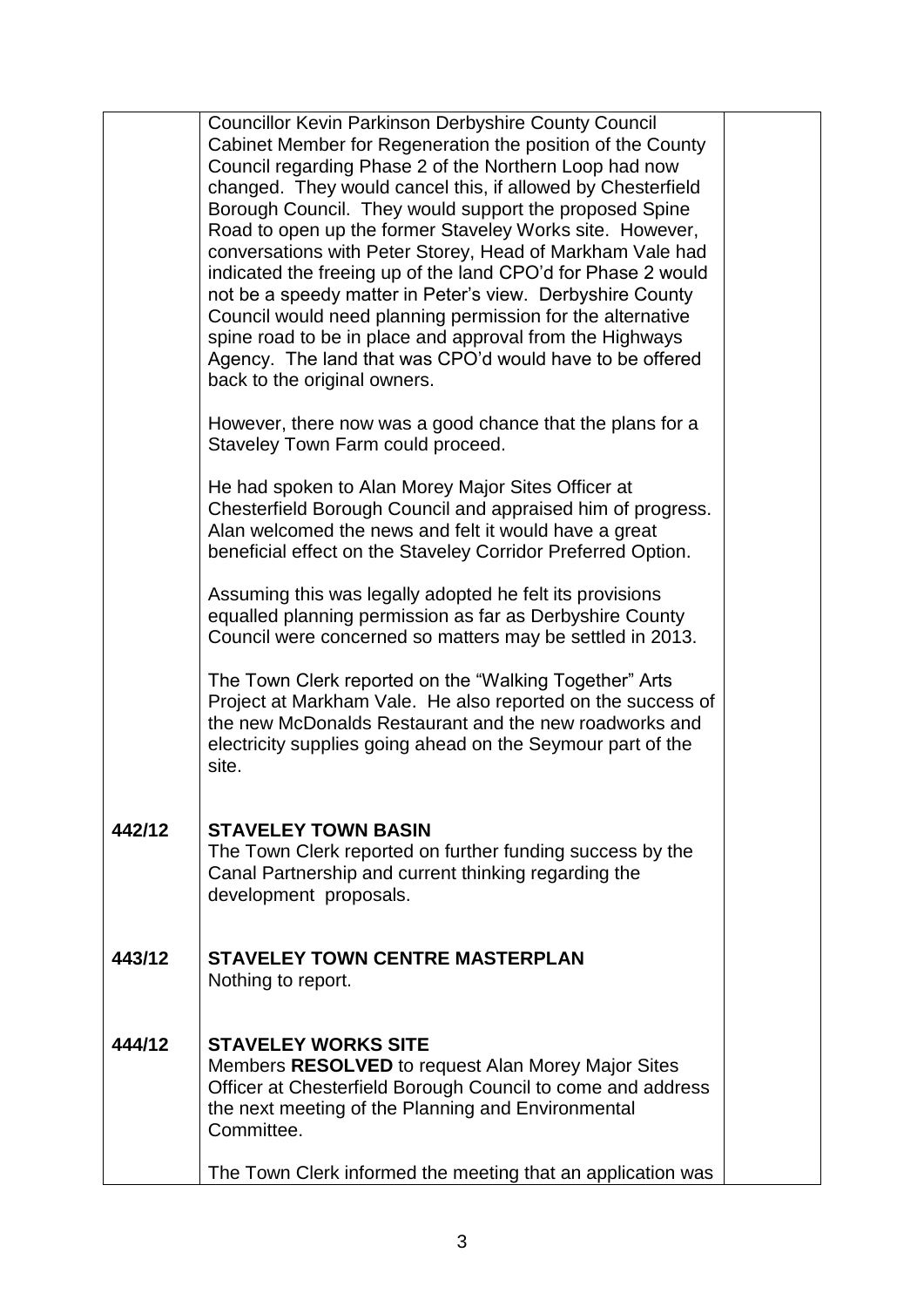|        | <b>Councillor Kevin Parkinson Derbyshire County Council</b><br>Cabinet Member for Regeneration the position of the County<br>Council regarding Phase 2 of the Northern Loop had now<br>changed. They would cancel this, if allowed by Chesterfield<br>Borough Council. They would support the proposed Spine<br>Road to open up the former Staveley Works site. However,<br>conversations with Peter Storey, Head of Markham Vale had<br>indicated the freeing up of the land CPO'd for Phase 2 would<br>not be a speedy matter in Peter's view. Derbyshire County<br>Council would need planning permission for the alternative<br>spine road to be in place and approval from the Highways<br>Agency. The land that was CPO'd would have to be offered<br>back to the original owners. |  |
|--------|------------------------------------------------------------------------------------------------------------------------------------------------------------------------------------------------------------------------------------------------------------------------------------------------------------------------------------------------------------------------------------------------------------------------------------------------------------------------------------------------------------------------------------------------------------------------------------------------------------------------------------------------------------------------------------------------------------------------------------------------------------------------------------------|--|
|        | However, there now was a good chance that the plans for a<br>Staveley Town Farm could proceed.                                                                                                                                                                                                                                                                                                                                                                                                                                                                                                                                                                                                                                                                                           |  |
|        | He had spoken to Alan Morey Major Sites Officer at<br>Chesterfield Borough Council and appraised him of progress.<br>Alan welcomed the news and felt it would have a great<br>beneficial effect on the Staveley Corridor Preferred Option.                                                                                                                                                                                                                                                                                                                                                                                                                                                                                                                                               |  |
|        | Assuming this was legally adopted he felt its provisions<br>equalled planning permission as far as Derbyshire County<br>Council were concerned so matters may be settled in 2013.                                                                                                                                                                                                                                                                                                                                                                                                                                                                                                                                                                                                        |  |
|        | The Town Clerk reported on the "Walking Together" Arts<br>Project at Markham Vale. He also reported on the success of<br>the new McDonalds Restaurant and the new roadworks and<br>electricity supplies going ahead on the Seymour part of the<br>site.                                                                                                                                                                                                                                                                                                                                                                                                                                                                                                                                  |  |
| 442/12 | <b>STAVELEY TOWN BASIN</b><br>The Town Clerk reported on further funding success by the<br>Canal Partnership and current thinking regarding the<br>development proposals.                                                                                                                                                                                                                                                                                                                                                                                                                                                                                                                                                                                                                |  |
| 443/12 | <b>STAVELEY TOWN CENTRE MASTERPLAN</b><br>Nothing to report.                                                                                                                                                                                                                                                                                                                                                                                                                                                                                                                                                                                                                                                                                                                             |  |
| 444/12 | <b>STAVELEY WORKS SITE</b><br>Members <b>RESOLVED</b> to request Alan Morey Major Sites<br>Officer at Chesterfield Borough Council to come and address<br>the next meeting of the Planning and Environmental<br>Committee.                                                                                                                                                                                                                                                                                                                                                                                                                                                                                                                                                               |  |
|        | The Town Clerk informed the meeting that an application was                                                                                                                                                                                                                                                                                                                                                                                                                                                                                                                                                                                                                                                                                                                              |  |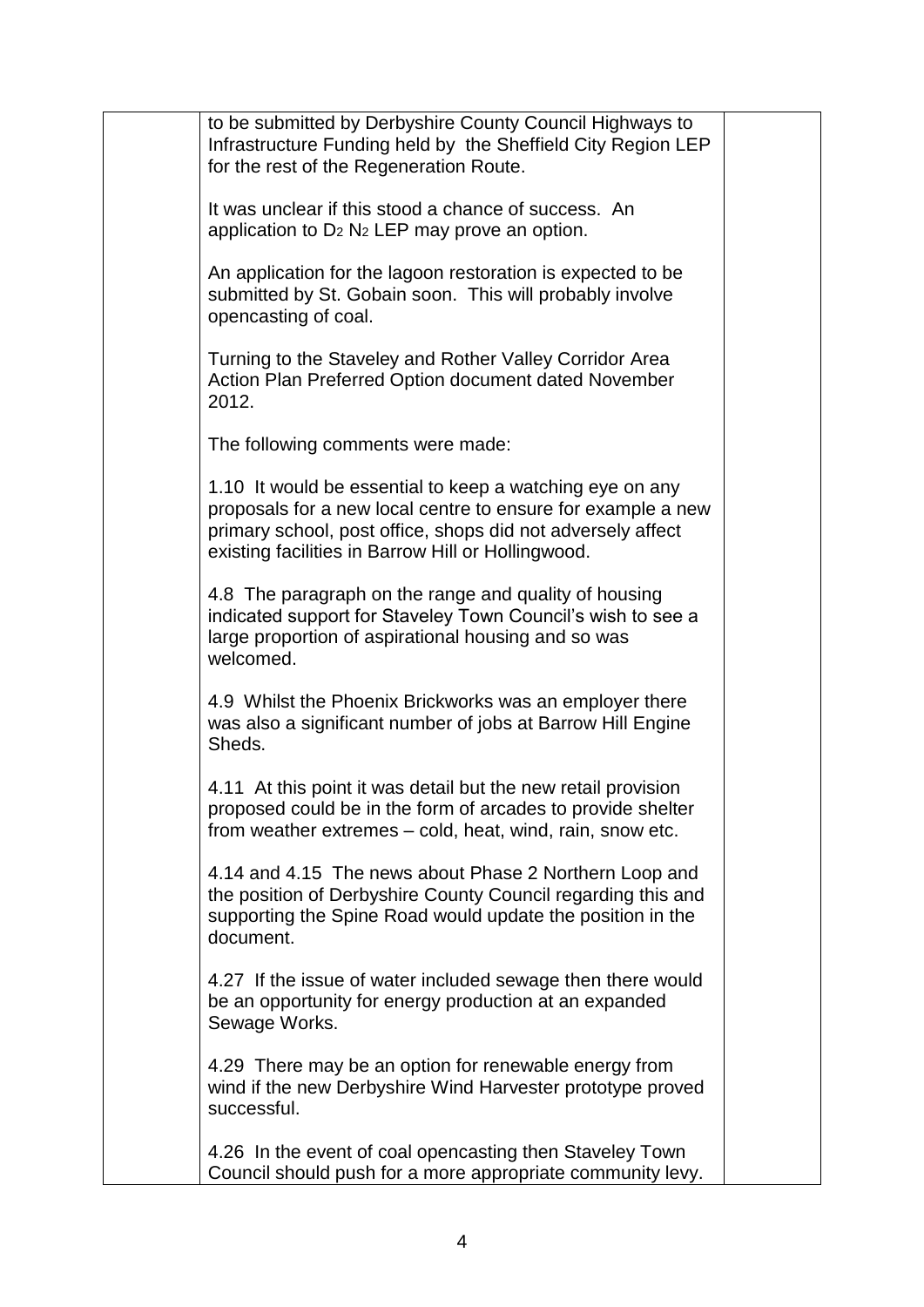| to be submitted by Derbyshire County Council Highways to<br>Infrastructure Funding held by the Sheffield City Region LEP<br>for the rest of the Regeneration Route.                                                                           |  |
|-----------------------------------------------------------------------------------------------------------------------------------------------------------------------------------------------------------------------------------------------|--|
| It was unclear if this stood a chance of success. An<br>application to $D_2$ N <sub>2</sub> LEP may prove an option.                                                                                                                          |  |
| An application for the lagoon restoration is expected to be<br>submitted by St. Gobain soon. This will probably involve<br>opencasting of coal.                                                                                               |  |
| Turning to the Staveley and Rother Valley Corridor Area<br>Action Plan Preferred Option document dated November<br>2012.                                                                                                                      |  |
| The following comments were made:                                                                                                                                                                                                             |  |
| 1.10 It would be essential to keep a watching eye on any<br>proposals for a new local centre to ensure for example a new<br>primary school, post office, shops did not adversely affect<br>existing facilities in Barrow Hill or Hollingwood. |  |
| 4.8 The paragraph on the range and quality of housing<br>indicated support for Staveley Town Council's wish to see a<br>large proportion of aspirational housing and so was<br>welcomed.                                                      |  |
| 4.9 Whilst the Phoenix Brickworks was an employer there<br>was also a significant number of jobs at Barrow Hill Engine<br>Sheds.                                                                                                              |  |
| 4.11 At this point it was detail but the new retail provision<br>proposed could be in the form of arcades to provide shelter<br>from weather extremes – cold, heat, wind, rain, snow etc.                                                     |  |
| 4.14 and 4.15 The news about Phase 2 Northern Loop and<br>the position of Derbyshire County Council regarding this and<br>supporting the Spine Road would update the position in the<br>document.                                             |  |
| 4.27 If the issue of water included sewage then there would<br>be an opportunity for energy production at an expanded<br>Sewage Works.                                                                                                        |  |
| 4.29 There may be an option for renewable energy from<br>wind if the new Derbyshire Wind Harvester prototype proved<br>successful.                                                                                                            |  |
| 4.26 In the event of coal opencasting then Staveley Town<br>Council should push for a more appropriate community levy.                                                                                                                        |  |